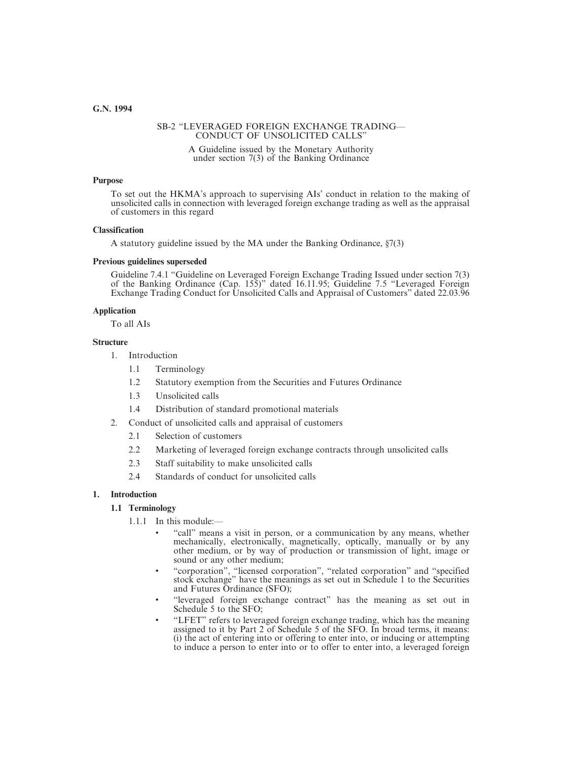# SB-2 "LEVERAGED FOREIGN EXCHANGE TRADING— CONDUCT OF UNSOLICITED CALLS"

A Guideline issued by the Monetary Authority under section 7(3) of the Banking Ordinance

#### **Purpose**

To set out the HKMA's approach to supervising AIs' conduct in relation to the making of unsolicited calls in connection with leveraged foreign exchange trading as well as the appraisal of customers in this regard

#### **Classification**

A statutory guideline issued by the MA under the Banking Ordinance, §7(3)

#### **Previous guidelines superseded**

Guideline 7.4.1 "Guideline on Leveraged Foreign Exchange Trading Issued under section 7(3) of the Banking Ordinance (Cap. 155)" dated 16.11.95; Guideline 7.5 "Leveraged Foreign Exchange Trading Conduct for Unsolicited Calls and Appraisal of Customers" dated 22.03.96

#### **Application**

To all AIs

#### **Structure**

- 1. Introduction
	- 1.1 Terminology
	- 1.2 Statutory exemption from the Securities and Futures Ordinance
	- 1.3 Unsolicited calls
	- 1.4 Distribution of standard promotional materials
- 2. Conduct of unsolicited calls and appraisal of customers
	- 2.1 Selection of customers
	- 2.2 Marketing of leveraged foreign exchange contracts through unsolicited calls
	- 2.3 Staff suitability to make unsolicited calls
	- 2.4 Standards of conduct for unsolicited calls

# **1. Introduction**

# **1.1 Terminology**

- 1.1.1 In this module:—
	- "call" means a visit in person, or a communication by any means, whether mechanically, electronically, magnetically, optically, manually or by any other medium, or by way of production or transmission of light, image or sound or any other medium;
	- "corporation", "licensed corporation", "related corporation" and "specified stock exchange" have the meanings as set out in Schedule 1 to the Securities and Futures Ordinance (SFO);
	- "leveraged foreign exchange contract" has the meaning as set out in Schedule 5 to the SFO:
	- "LFET" refers to leveraged foreign exchange trading, which has the meaning assigned to it by Part 2 of Schedule 5 of the SFO. In broad terms, it means: (i) the act of entering into or offering to enter into, or inducing or attempting to induce a person to enter into or to offer to enter into, a leveraged foreign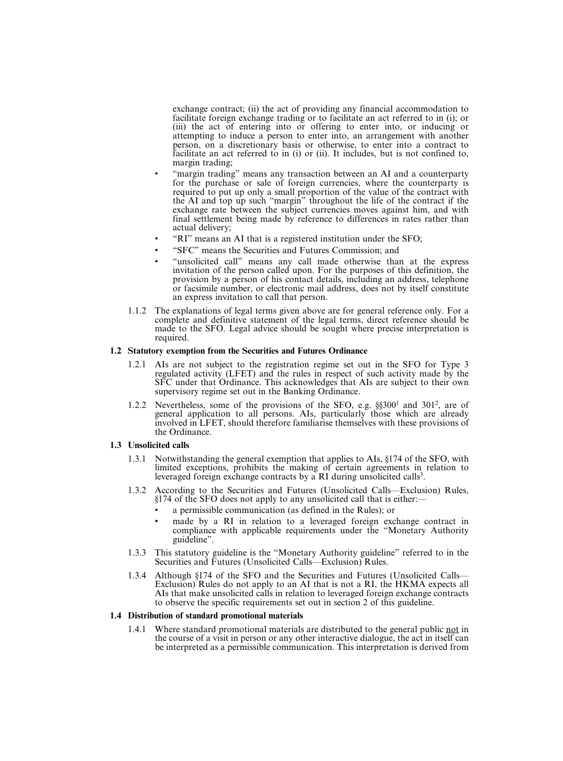exchange contract; (ii) the act of providing any financial accommodation to facilitate foreign exchange trading or to facilitate an act referred to in (i); or (iii) the act of entering into or offering to enter into, or inducing or attempting to induce a person to enter into, an arrangement with another person, on a discretionary basis or otherwise, to enter into a contract to facilitate an act referred to in (i) or (ii). It includes, but is not confined to, margin trading;

- "margin trading" means any transaction between an AI and a counterparty for the purchase or sale of foreign currencies, where the counterparty is required to put up only a small proportion of the value of the contract with the AI and top up such "margin" throughout the life of the contract if the exchange rate between the subject currencies moves against him, and with final settlement being made by reference to differences in rates rather than actual delivery;
- "RI" means an AI that is a registered institution under the SFO;
- "SFC" means the Securities and Futures Commission; and
- "unsolicited call" means any call made otherwise than at the express invitation of the person called upon. For the purposes of this definition, the provision by a person of his contact details, including an address, telephone or facsimile number, or electronic mail address, does not by itself constitute an express invitation to call that person.
- 1.1.2 The explanations of legal terms given above are for general reference only. For a complete and definitive statement of the legal terms, direct reference should be made to the SFO. Legal advice should be sought where precise interpretation is required.

# **1.2 Statutory exemption from the Securities and Futures Ordinance**

- 1.2.1 AIs are not subject to the registration regime set out in the SFO for Type 3 regulated activity (LFET) and the rules in respect of such activity made by the SFC under that Ordinance. This acknowledges that AIs are subject to their own supervisory regime set out in the Banking Ordinance.
- 1.2.2 Nevertheless, some of the provisions of the SFO, e.g.  $\S$ \$300<sup>1</sup> and 301<sup>2</sup>, are of general application to all persons. AIs, particularly those which are already involved in LFET, should therefore familiarise themselves with these provisions of the Ordinance.

# **1.3 Unsolicited calls**

- 1.3.1 Notwithstanding the general exemption that applies to AIs, §174 of the SFO, with limited exceptions, prohibits the making of certain agreements in relation to leveraged foreign exchange contracts by a RI during unsolicited calls<sup>3</sup>.
- 1.3.2 According to the Securities and Futures (Unsolicited Calls—Exclusion) Rules, §174 of the SFO does not apply to any unsolicited call that is either:—
	- a permissible communication (as defined in the Rules); or
	- made by a RI in relation to a leveraged foreign exchange contract in compliance with applicable requirements under the "Monetary Authority guideline".
- 1.3.3 This statutory guideline is the "Monetary Authority guideline" referred to in the Securities and Futures (Unsolicited Calls—Exclusion) Rules.
- 1.3.4 Although §174 of the SFO and the Securities and Futures (Unsolicited Calls— Exclusion) Rules do not apply to an AI that is not a RI, the HKMA expects all AIs that make unsolicited calls in relation to leveraged foreign exchange contracts to observe the specific requirements set out in section 2 of this guideline.

#### **1.4 Distribution of standard promotional materials**

1.4.1 Where standard promotional materials are distributed to the general public not in the course of a visit in person or any other interactive dialogue, the act in itself can be interpreted as a permissible communication. This interpretation is derived from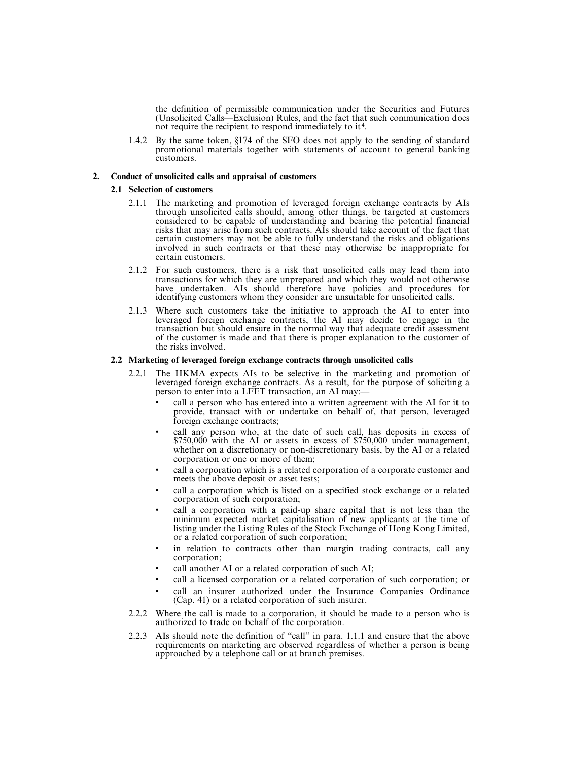the definition of permissible communication under the Securities and Futures (Unsolicited Calls—Exclusion) Rules, and the fact that such communication does not require the recipient to respond immediately to it<sup>4</sup>.

1.4.2 By the same token, §174 of the SFO does not apply to the sending of standard promotional materials together with statements of account to general banking customers.

# **2. Conduct of unsolicited calls and appraisal of customers**

# **2.1 Selection of customers**

- 2.1.1 The marketing and promotion of leveraged foreign exchange contracts by AIs through unsolicited calls should, among other things, be targeted at customers considered to be capable of understanding and bearing the potential financial risks that may arise from such contracts. AIs should take account of the fact that certain customers may not be able to fully understand the risks and obligations involved in such contracts or that these may otherwise be inappropriate for certain customers.
- 2.1.2 For such customers, there is a risk that unsolicited calls may lead them into transactions for which they are unprepared and which they would not otherwise have undertaken. AIs should therefore have policies and procedures for identifying customers whom they consider are unsuitable for unsolicited calls.
- 2.1.3 Where such customers take the initiative to approach the AI to enter into leveraged foreign exchange contracts, the AI may decide to engage in the transaction but should ensure in the normal way that adequate credit assessment of the customer is made and that there is proper explanation to the customer of the risks involved.

# **2.2 Marketing of leveraged foreign exchange contracts through unsolicited calls**

- 2.2.1 The HKMA expects AIs to be selective in the marketing and promotion of leveraged foreign exchange contracts. As a result, for the purpose of soliciting a person to enter into a LFET transaction, an AI may:—
	- call a person who has entered into a written agreement with the AI for it to provide, transact with or undertake on behalf of, that person, leveraged foreign exchange contracts;
	- call any person who, at the date of such call, has deposits in excess of \$750,000 with the AI or assets in excess of \$750,000 under management, whether on a discretionary or non-discretionary basis, by the AI or a related corporation or one or more of them;
	- call a corporation which is a related corporation of a corporate customer and meets the above deposit or asset tests;
	- call a corporation which is listed on a specified stock exchange or a related corporation of such corporation;
	- call a corporation with a paid-up share capital that is not less than the minimum expected market capitalisation of new applicants at the time of listing under the Listing Rules of the Stock Exchange of Hong Kong Limited, or a related corporation of such corporation;
	- in relation to contracts other than margin trading contracts, call any corporation;
	- call another AI or a related corporation of such AI;
	- call a licensed corporation or a related corporation of such corporation; or
	- call an insurer authorized under the Insurance Companies Ordinance (Cap. 41) or a related corporation of such insurer.
- 2.2.2 Where the call is made to a corporation, it should be made to a person who is authorized to trade on behalf of the corporation.
- 2.2.3 AIs should note the definition of "call" in para. 1.1.1 and ensure that the above requirements on marketing are observed regardless of whether a person is being approached by a telephone call or at branch premises.